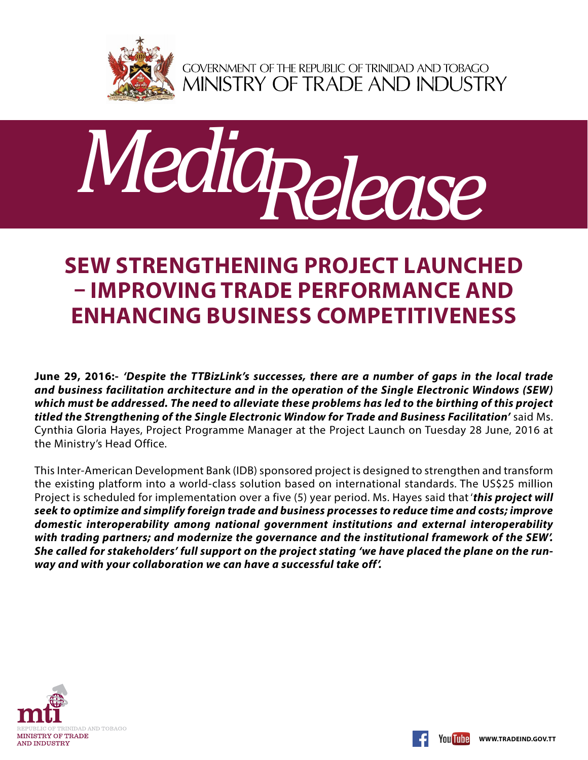

GOVERNMENT OF THE REPUBLIC OF TRINIDAD AND TOBAGO<br>MINISTRY OF TRADE AND INDUSTRY



## **SEW Strengthening Project launched – improving trade performance and enhancing business competitiveness**

**June 29, 2016:-** *'Despite the TTBizLink's successes, there are a number of gaps in the local trade and business facilitation architecture and in the operation of the Single Electronic Windows (SEW) which must be addressed. The need to alleviate these problems has led to the birthing of this project titled the Strengthening of the Single Electronic Window for Trade and Business Facilitation'* said Ms. Cynthia Gloria Hayes, Project Programme Manager at the Project Launch on Tuesday 28 June, 2016 at the Ministry's Head Office.

This Inter-American Development Bank (IDB) sponsored project is designed to strengthen and transform the existing platform into a world-class solution based on international standards. The US\$25 million Project is scheduled for implementation over a five (5) year period. Ms. Hayes said that '*this project will seek to optimize and simplify foreign trade and business processes to reduce time and costs; improve domestic interoperability among national government institutions and external interoperability with trading partners; and modernize the governance and the institutional framework of the SEW'. She called for stakeholders' full support on the project stating 'we have placed the plane on the runway and with your collaboration we can have a successful take off'.*